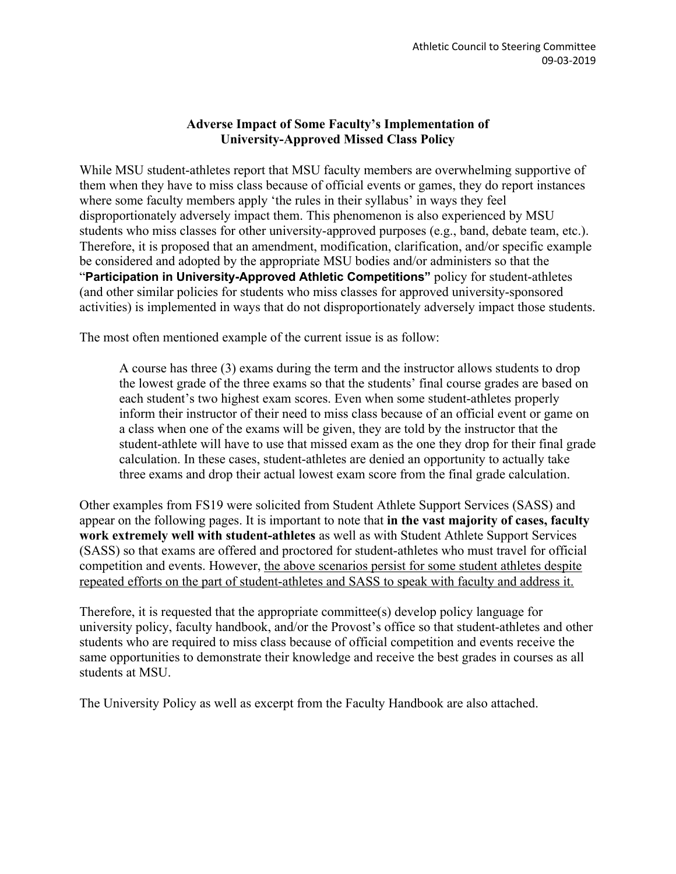# **Adverse Impact of Some Faculty's Implementation of University-Approved Missed Class Policy**

While MSU student-athletes report that MSU faculty members are overwhelming supportive of them when they have to miss class because of official events or games, they do report instances where some faculty members apply 'the rules in their syllabus' in ways they feel disproportionately adversely impact them. This phenomenon is also experienced by MSU students who miss classes for other university-approved purposes (e.g., band, debate team, etc.). Therefore, it is proposed that an amendment, modification, clarification, and/or specific example be considered and adopted by the appropriate MSU bodies and/or administers so that the "**Participation in University-Approved Athletic Competitions"** policy for student-athletes (and other similar policies for students who miss classes for approved university-sponsored activities) is implemented in ways that do not disproportionately adversely impact those students.

The most often mentioned example of the current issue is as follow:

A course has three (3) exams during the term and the instructor allows students to drop the lowest grade of the three exams so that the students' final course grades are based on each student's two highest exam scores. Even when some student-athletes properly inform their instructor of their need to miss class because of an official event or game on a class when one of the exams will be given, they are told by the instructor that the student-athlete will have to use that missed exam as the one they drop for their final grade calculation. In these cases, student-athletes are denied an opportunity to actually take three exams and drop their actual lowest exam score from the final grade calculation.

Other examples from FS19 were solicited from Student Athlete Support Services (SASS) and appear on the following pages. It is important to note that **in the vast majority of cases, faculty work extremely well with student-athletes** as well as with Student Athlete Support Services (SASS) so that exams are offered and proctored for student-athletes who must travel for official competition and events. However, the above scenarios persist for some student athletes despite repeated efforts on the part of student-athletes and SASS to speak with faculty and address it.

Therefore, it is requested that the appropriate committee(s) develop policy language for university policy, faculty handbook, and/or the Provost's office so that student-athletes and other students who are required to miss class because of official competition and events receive the same opportunities to demonstrate their knowledge and receive the best grades in courses as all students at MSU.

The University Policy as well as excerpt from the Faculty Handbook are also attached.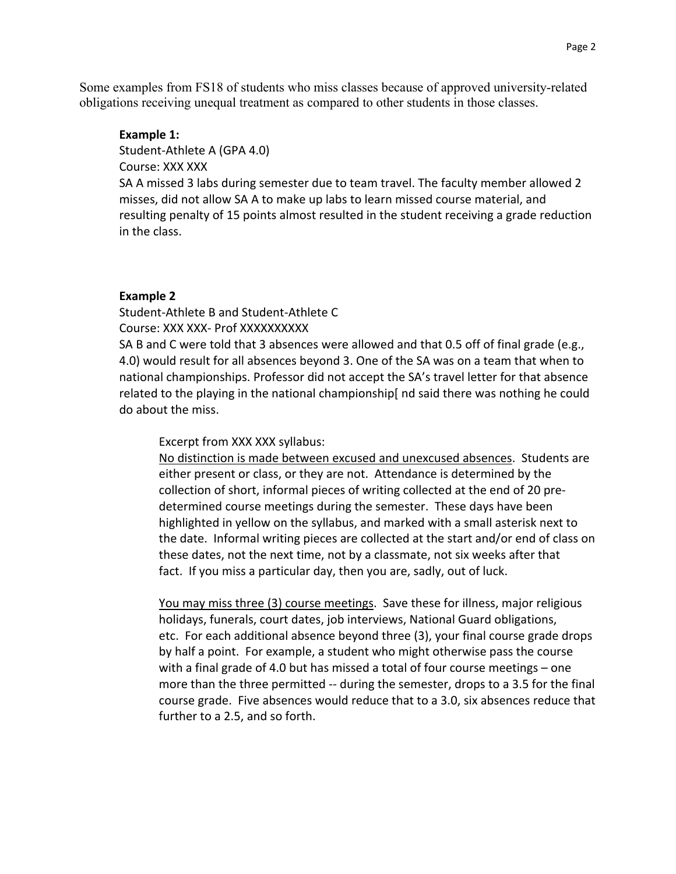Some examples from FS18 of students who miss classes because of approved university-related obligations receiving unequal treatment as compared to other students in those classes.

#### **Example 1:**

Student-Athlete A (GPA 4.0)

Course: XXX XXX

SA A missed 3 labs during semester due to team travel. The faculty member allowed 2 misses, did not allow SA A to make up labs to learn missed course material, and resulting penalty of 15 points almost resulted in the student receiving a grade reduction in the class.

### **Example 2**

Student-Athlete B and Student-Athlete C Course: XXX XXX- Prof XXXXXXXXXX

SA B and C were told that 3 absences were allowed and that 0.5 off of final grade (e.g., 4.0) would result for all absences beyond 3. One of the SA was on a team that when to national championships. Professor did not accept the SA's travel letter for that absence related to the playing in the national championship[ nd said there was nothing he could do about the miss.

Excerpt from XXX XXX syllabus:

No distinction is made between excused and unexcused absences. Students are either present or class, or they are not. Attendance is determined by the collection of short, informal pieces of writing collected at the end of 20 predetermined course meetings during the semester. These days have been highlighted in yellow on the syllabus, and marked with a small asterisk next to the date. Informal writing pieces are collected at the start and/or end of class on these dates, not the next time, not by a classmate, not six weeks after that fact. If you miss a particular day, then you are, sadly, out of luck.

You may miss three (3) course meetings. Save these for illness, major religious holidays, funerals, court dates, job interviews, National Guard obligations, etc. For each additional absence beyond three (3), your final course grade drops by half a point. For example, a student who might otherwise pass the course with a final grade of 4.0 but has missed a total of four course meetings – one more than the three permitted -- during the semester, drops to a 3.5 for the final course grade. Five absences would reduce that to a 3.0, six absences reduce that further to a 2.5, and so forth.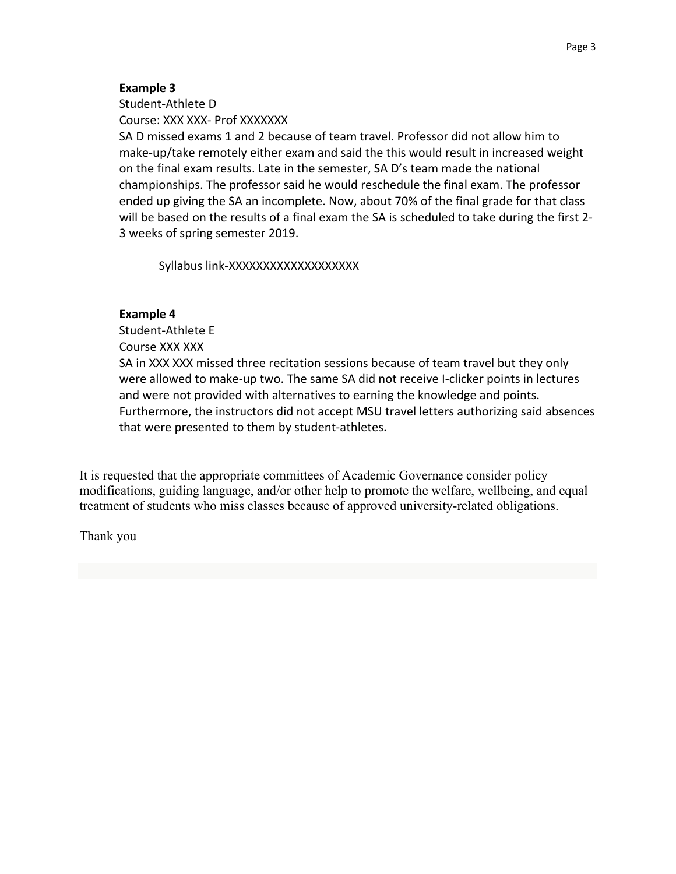## **Example 3**

Student-Athlete D Course: XXX XXX- Prof XXXXXXX

SA D missed exams 1 and 2 because of team travel. Professor did not allow him to make-up/take remotely either exam and said the this would result in increased weight on the final exam results. Late in the semester, SA D's team made the national championships. The professor said he would reschedule the final exam. The professor ended up giving the SA an incomplete. Now, about 70% of the final grade for that class will be based on the results of a final exam the SA is scheduled to take during the first 2- 3 weeks of spring semester 2019.

Syllabus link-XXXXXXXXXXXXXXXXXXX

## **Example 4**

Student-Athlete E Course XXX XXX SA in XXX XXX missed three recitation sessions because of team travel but they only were allowed to make-up two. The same SA did not receive I-clicker points in lectures and were not provided with alternatives to earning the knowledge and points. Furthermore, the instructors did not accept MSU travel letters authorizing said absences that were presented to them by student-athletes.

It is requested that the appropriate committees of Academic Governance consider policy modifications, guiding language, and/or other help to promote the welfare, wellbeing, and equal treatment of students who miss classes because of approved university-related obligations.

Thank you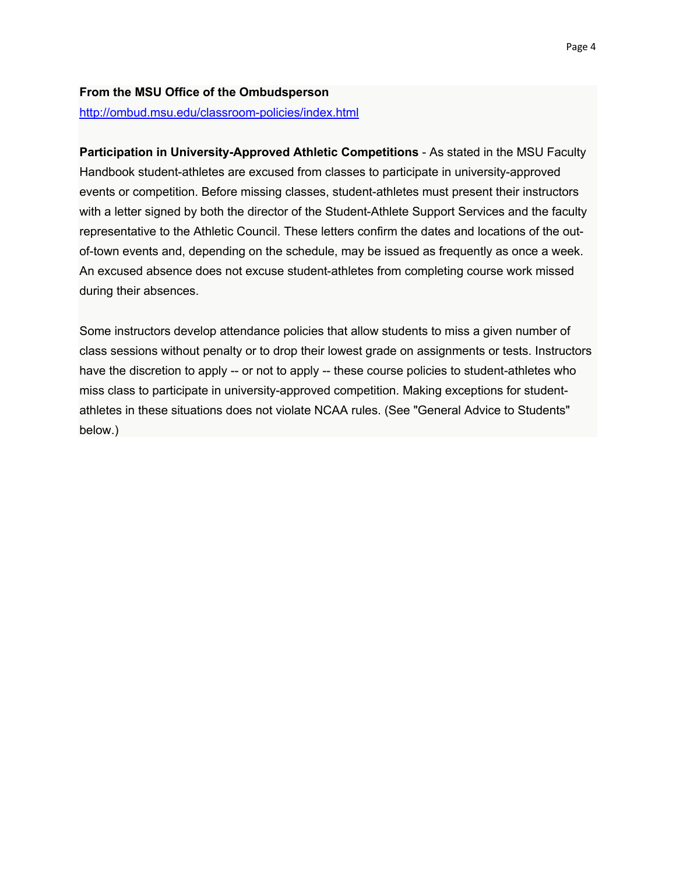### **From the MSU Office of the Ombudsperson**

http://ombud.msu.edu/classroom-policies/index.html

**Participation in University-Approved Athletic Competitions** - As stated in the MSU Faculty Handbook student-athletes are excused from classes to participate in university-approved events or competition. Before missing classes, student-athletes must present their instructors with a letter signed by both the director of the Student-Athlete Support Services and the faculty representative to the Athletic Council. These letters confirm the dates and locations of the outof-town events and, depending on the schedule, may be issued as frequently as once a week. An excused absence does not excuse student-athletes from completing course work missed during their absences.

Some instructors develop attendance policies that allow students to miss a given number of class sessions without penalty or to drop their lowest grade on assignments or tests. Instructors have the discretion to apply -- or not to apply -- these course policies to student-athletes who miss class to participate in university-approved competition. Making exceptions for studentathletes in these situations does not violate NCAA rules. (See "General Advice to Students" below.)